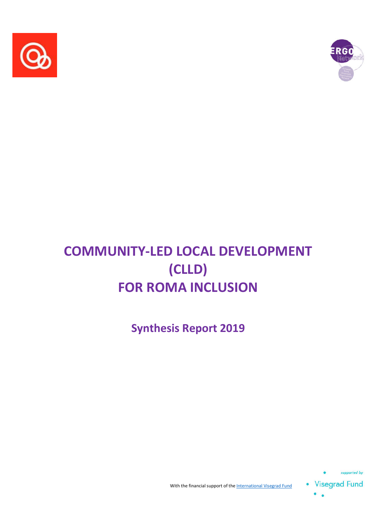



# **COMMUNITY-LED LOCAL DEVELOPMENT (CLLD) FOR ROMA INCLUSION**

**Synthesis Report 2019**



 $\bullet$ 

With the financial support of the International Visegrad Fund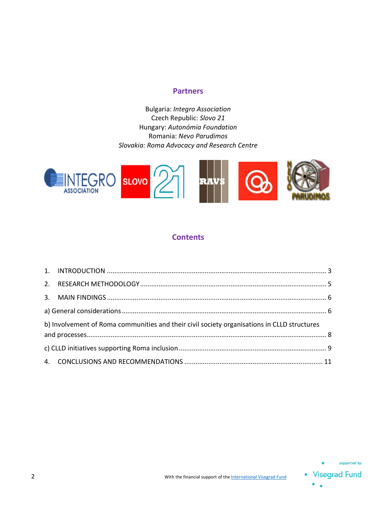#### **Partners**

Bulgaria: *Integro Association* Czech Republic: *Slovo 21* Hungary: *Autonómia Foundation* Romania: *Nevo Parudimos Slovakia: Roma Advocacy and Research Centre*



#### **Contents**

| b) Involvement of Roma communities and their civil society organisations in CLLD structures |  |
|---------------------------------------------------------------------------------------------|--|
|                                                                                             |  |
|                                                                                             |  |

۰  $\bullet$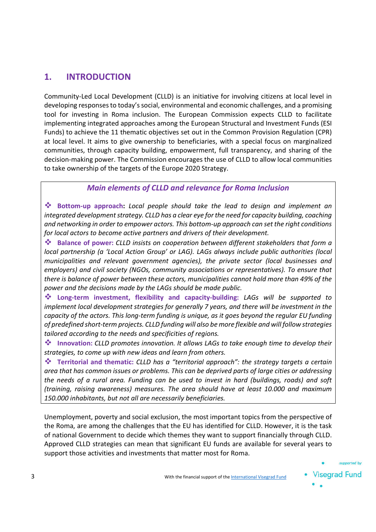## **1. INTRODUCTION**

Community-Led Local Development (CLLD) is an initiative for involving citizens at local level in developing responses to today's social, environmental and economic challenges, and a promising tool for investing in Roma inclusion. The European Commission expects CLLD to facilitate implementing integrated approaches among the European Structural and Investment Funds (ESI Funds) to achieve the 11 thematic objectives set out in the Common Provision Regulation (CPR) at local level. It aims to give ownership to beneficiaries, with a special focus on marginalized communities, through capacity building, empowerment, full transparency, and sharing of the decision-making power. The Commission encourages the use of CLLD to allow local communities to take ownership of the targets of the Europe 2020 Strategy.

#### *Main elements of CLLD and relevance for Roma Inclusion*

 **Bottom-up approach:** *Local people should take the lead to design and implement an integrated development strategy. CLLD has a clear eye for the need for capacity building, coaching and networking in order to empower actors. This bottom-up approach can set the right conditions for local actors to become active partners and drivers of their development.* 

 **Balance of power:** *CLLD insists on cooperation between different stakeholders that form a local partnership (a 'Local Action Group' or LAG). LAGs always include public authorities (local municipalities and relevant government agencies), the private sector (local businesses and employers) and civil society (NGOs, community associations or representatives). To ensure that there is balance of power between these actors, municipalities cannot hold more than 49% of the power and the decisions made by the LAGs should be made public.* 

 **Long-term investment, flexibility and capacity-building:** *LAGs will be supported to implement local development strategies for generally 7 years, and there will be investment in the capacity of the actors. This long-term funding is unique, as it goes beyond the regular EU funding of predefined short-term projects. CLLD funding will also be more flexible and will follow strategies tailored according to the needs and specificities of regions.*

 **Innovation:** *CLLD promotes innovation. It allows LAGs to take enough time to develop their strategies, to come up with new ideas and learn from others.* 

 **Territorial and thematic:** *CLLD has a "territorial approach": the strategy targets a certain area that has common issues or problems. This can be deprived parts of large cities or addressing the needs of a rural area. Funding can be used to invest in hard (buildings, roads) and soft (training, raising awareness) measures. The area should have at least 10.000 and maximum 150.000 inhabitants, but not all are necessarily beneficiaries.*

Unemployment, poverty and social exclusion, the most important topics from the perspective of the Roma, are among the challenges that the EU has identified for CLLD. However, it is the task of national Government to decide which themes they want to support financially through CLLD. Approved CLLD strategies can mean that significant EU funds are available for several years to support those activities and investments that matter most for Roma.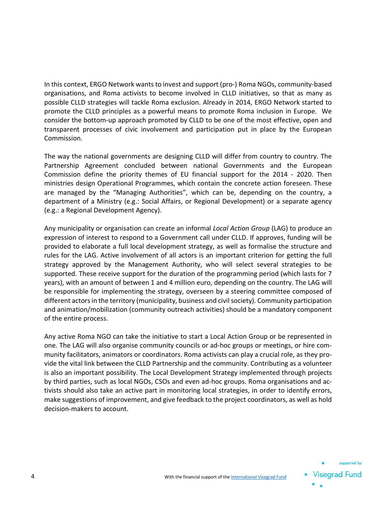In this context, ERGO Network wants to invest and support (pro-) Roma NGOs, community-based organisations, and Roma activists to become involved in CLLD initiatives, so that as many as possible CLLD strategies will tackle Roma exclusion. Already in 2014, ERGO Network started to promote the CLLD principles as a powerful means to promote Roma inclusion in Europe. We consider the bottom-up approach promoted by CLLD to be one of the most effective, open and transparent processes of civic involvement and participation put in place by the European Commission.

The way the national governments are designing CLLD will differ from country to country. The Partnership Agreement concluded between national Governments and the European Commission define the priority themes of EU financial support for the 2014 - 2020. Then ministries design Operational Programmes, which contain the concrete action foreseen. These are managed by the "Managing Authorities", which can be, depending on the country, a department of a Ministry (e.g.: Social Affairs, or Regional Development) or a separate agency (e.g.: a Regional Development Agency).

Any municipality or organisation can create an informal *Local Action Group* (LAG) to produce an expression of interest to respond to a Government call under CLLD. If approves, funding will be provided to elaborate a full local development strategy, as well as formalise the structure and rules for the LAG. Active involvement of all actors is an important criterion for getting the full strategy approved by the Management Authority, who will select several strategies to be supported. These receive support for the duration of the programming period (which lasts for 7 years), with an amount of between 1 and 4 million euro, depending on the country. The LAG will be responsible for implementing the strategy, overseen by a steering committee composed of different actors in the territory (municipality, business and civil society). Community participation and animation/mobilization (community outreach activities) should be a mandatory component of the entire process.

Any active Roma NGO can take the initiative to start a Local Action Group or be represented in one. The LAG will also organise community councils or ad-hoc groups or meetings, or hire community facilitators, animators or coordinators. Roma activists can play a crucial role, as they provide the vital link between the CLLD Partnership and the community. Contributing as a volunteer is also an important possibility. The Local Development Strategy implemented through projects by third parties, such as local NGOs, CSOs and even ad-hoc groups. Roma organisations and activists should also take an active part in monitoring local strategies, in order to identify errors, make suggestions of improvement, and give feedback to the project coordinators, as well as hold decision-makers to account.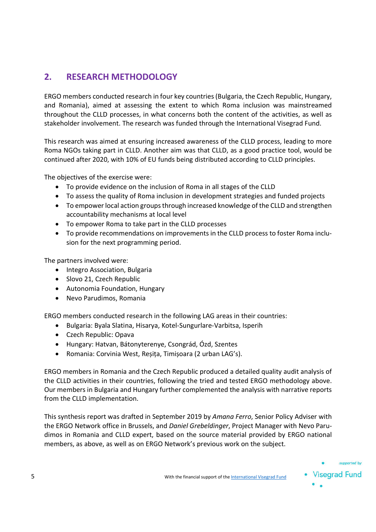# **2. RESEARCH METHODOLOGY**

ERGO members conducted research in four key countries (Bulgaria, the Czech Republic, Hungary, and Romania), aimed at assessing the extent to which Roma inclusion was mainstreamed throughout the CLLD processes, in what concerns both the content of the activities, as well as stakeholder involvement. The research was funded through the International Visegrad Fund.

This research was aimed at ensuring increased awareness of the CLLD process, leading to more Roma NGOs taking part in CLLD. Another aim was that CLLD, as a good practice tool, would be continued after 2020, with 10% of EU funds being distributed according to CLLD principles.

The objectives of the exercise were:

- To provide evidence on the inclusion of Roma in all stages of the CLLD
- To assess the quality of Roma inclusion in development strategies and funded projects
- To empower local action groups through increased knowledge of the CLLD and strengthen accountability mechanisms at local level
- To empower Roma to take part in the CLLD processes
- To provide recommendations on improvements in the CLLD process to foster Roma inclusion for the next programming period.

The partners involved were:

- Integro Association, Bulgaria
- Slovo 21, Czech Republic
- Autonomia Foundation, Hungary
- Nevo Parudimos, Romania

ERGO members conducted research in the following LAG areas in their countries:

- Bulgaria: Byala Slatina, Hisarya, Kotel-Sungurlare-Varbitsa, Isperih
- Czech Republic: Opava
- Hungary: Hatvan, Bátonyterenye, Csongrád, Ózd, Szentes
- Romania: Corvinia West, Reșița, Timișoara (2 urban LAG's).

ERGO members in Romania and the Czech Republic produced a detailed quality audit analysis of the CLLD activities in their countries, following the tried and tested ERGO methodology above. Our members in Bulgaria and Hungary further complemented the analysis with narrative reports from the CLLD implementation.

This synthesis report was drafted in September 2019 by *Amana Ferro*, Senior Policy Adviser with the ERGO Network office in Brussels, and *Daniel Grebeldinger*, Project Manager with Nevo Parudimos in Romania and CLLD expert, based on the source material provided by ERGO national members, as above, as well as on ERGO Network's previous work on the subject.

supported by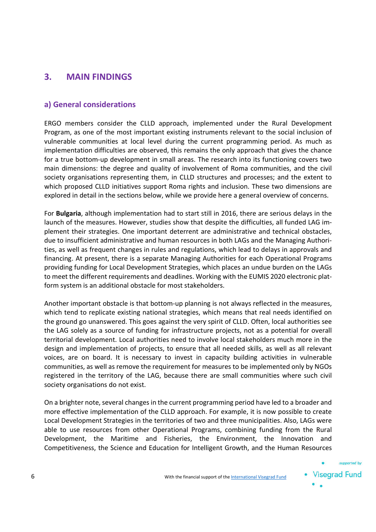## **3. MAIN FINDINGS**

#### **a) General considerations**

ERGO members consider the CLLD approach, implemented under the Rural Development Program, as one of the most important existing instruments relevant to the social inclusion of vulnerable communities at local level during the current programming period. As much as implementation difficulties are observed, this remains the only approach that gives the chance for a true bottom-up development in small areas. The research into its functioning covers two main dimensions: the degree and quality of involvement of Roma communities, and the civil society organisations representing them, in CLLD structures and processes; and the extent to which proposed CLLD initiatives support Roma rights and inclusion. These two dimensions are explored in detail in the sections below, while we provide here a general overview of concerns.

For **Bulgaria**, although implementation had to start still in 2016, there are serious delays in the launch of the measures. However, studies show that despite the difficulties, all funded LAG implement their strategies. One important deterrent are administrative and technical obstacles, due to insufficient administrative and human resources in both LAGs and the Managing Authorities, as well as frequent changes in rules and regulations, which lead to delays in approvals and financing. At present, there is a separate Managing Authorities for each Operational Programs providing funding for Local Development Strategies, which places an undue burden on the LAGs to meet the different requirements and deadlines. Working with the EUMIS 2020 electronic platform system is an additional obstacle for most stakeholders.

Another important obstacle is that bottom-up planning is not always reflected in the measures, which tend to replicate existing national strategies, which means that real needs identified on the ground go unanswered. This goes against the very spirit of CLLD. Often, local authorities see the LAG solely as a source of funding for infrastructure projects, not as a potential for overall territorial development. Local authorities need to involve local stakeholders much more in the design and implementation of projects, to ensure that all needed skills, as well as all relevant voices, are on board. It is necessary to invest in capacity building activities in vulnerable communities, as well as remove the requirement for measures to be implemented only by NGOs registered in the territory of the LAG, because there are small communities where such civil society organisations do not exist.

On a brighter note, several changes in the current programming period have led to a broader and more effective implementation of the CLLD approach. For example, it is now possible to create Local Development Strategies in the territories of two and three municipalities. Also, LAGs were able to use resources from other Operational Programs, combining funding from the Rural Development, the Maritime and Fisheries, the Environment, the Innovation and Competitiveness, the Science and Education for Intelligent Growth, and the Human Resources

supported by

**Visegrad Fund** 

۰.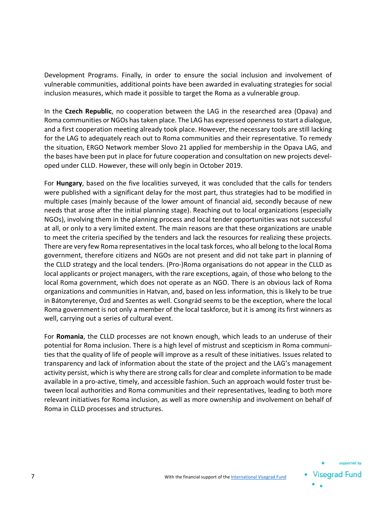Development Programs. Finally, in order to ensure the social inclusion and involvement of vulnerable communities, additional points have been awarded in evaluating strategies for social inclusion measures, which made it possible to target the Roma as a vulnerable group.

In the **Czech Republic**, no cooperation between the LAG in the researched area (Opava) and Roma communities or NGOs has taken place. The LAG has expressed openness to start a dialogue, and a first cooperation meeting already took place. However, the necessary tools are still lacking for the LAG to adequately reach out to Roma communities and their representative. To remedy the situation, ERGO Network member Slovo 21 applied for membership in the Opava LAG, and the bases have been put in place for future cooperation and consultation on new projects developed under CLLD. However, these will only begin in October 2019.

For **Hungary**, based on the five localities surveyed, it was concluded that the calls for tenders were published with a significant delay for the most part, thus strategies had to be modified in multiple cases (mainly because of the lower amount of financial aid, secondly because of new needs that arose after the initial planning stage). Reaching out to local organizations (especially NGOs), involving them in the planning process and local tender opportunities was not successful at all, or only to a very limited extent. The main reasons are that these organizations are unable to meet the criteria specified by the tenders and lack the resources for realizing these projects. There are very few Roma representatives in the local task forces, who all belong to the local Roma government, therefore citizens and NGOs are not present and did not take part in planning of the CLLD strategy and the local tenders. (Pro-)Roma organisations do not appear in the CLLD as local applicants or project managers, with the rare exceptions, again, of those who belong to the local Roma government, which does not operate as an NGO. There is an obvious lack of Roma organizations and communities in Hatvan, and, based on less information, this is likely to be true in Bátonyterenye, Ózd and Szentes as well. Csongrád seems to be the exception, where the local Roma government is not only a member of the local taskforce, but it is among its first winners as well, carrying out a series of cultural event.

For **Romania**, the CLLD processes are not known enough, which leads to an underuse of their potential for Roma inclusion. There is a high level of mistrust and scepticism in Roma communities that the quality of life of people will improve as a result of these initiatives. Issues related to transparency and lack of information about the state of the project and the LAG's management activity persist, which is why there are strong calls for clear and complete information to be made available in a pro-active, timely, and accessible fashion. Such an approach would foster trust between local authorities and Roma communities and their representatives, leading to both more relevant initiatives for Roma inclusion, as well as more ownership and involvement on behalf of Roma in CLLD processes and structures.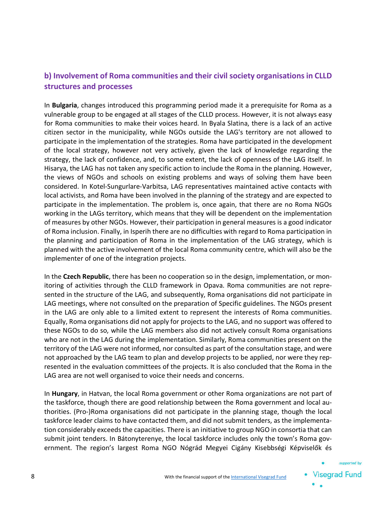### **b) Involvement of Roma communities and their civil society organisationsin CLLD structures and processes**

In **Bulgaria**, changes introduced this programming period made it a prerequisite for Roma as a vulnerable group to be engaged at all stages of the CLLD process. However, it is not always easy for Roma communities to make their voices heard. In Byala Slatina, there is a lack of an active citizen sector in the municipality, while NGOs outside the LAG's territory are not allowed to participate in the implementation of the strategies. Roma have participated in the development of the local strategy, however not very actively, given the lack of knowledge regarding the strategy, the lack of confidence, and, to some extent, the lack of openness of the LAG itself. In Hisarya, the LAG has not taken any specific action to include the Roma in the planning. However, the views of NGOs and schools on existing problems and ways of solving them have been considered. In Kotel-Sungurlare-Varbitsa, LAG representatives maintained active contacts with local activists, and Roma have been involved in the planning of the strategy and are expected to participate in the implementation. The problem is, once again, that there are no Roma NGOs working in the LAGs territory, which means that they will be dependent on the implementation of measures by other NGOs. However, their participation in general measures is a good indicator of Roma inclusion. Finally, in Isperih there are no difficulties with regard to Roma participation in the planning and participation of Roma in the implementation of the LAG strategy, which is planned with the active involvement of the local Roma community centre, which will also be the implementer of one of the integration projects.

In the **Czech Republic**, there has been no cooperation so in the design, implementation, or monitoring of activities through the CLLD framework in Opava. Roma communities are not represented in the structure of the LAG, and subsequently, Roma organisations did not participate in LAG meetings, where not consulted on the preparation of Specific guidelines. The NGOs present in the LAG are only able to a limited extent to represent the interests of Roma communities. Equally, Roma organisations did not apply for projects to the LAG, and no support was offered to these NGOs to do so, while the LAG members also did not actively consult Roma organisations who are not in the LAG during the implementation. Similarly, Roma communities present on the territory of the LAG were not informed, nor consulted as part of the consultation stage, and were not approached by the LAG team to plan and develop projects to be applied, nor were they represented in the evaluation committees of the projects. It is also concluded that the Roma in the LAG area are not well organised to voice their needs and concerns.

In **Hungary**, in Hatvan, the local Roma government or other Roma organizations are not part of the taskforce, though there are good relationship between the Roma government and local authorities. (Pro-)Roma organisations did not participate in the planning stage, though the local taskforce leader claims to have contacted them, and did not submit tenders, as the implementation considerably exceeds the capacities. There is an initiative to group NGO in consortia that can submit joint tenders. In Bátonyterenye, the local taskforce includes only the town's Roma government. The region's largest Roma NGO Nógrád Megyei Cigány Kisebbségi Képviselők és

supported by

**Visegrad Fund** 

۰.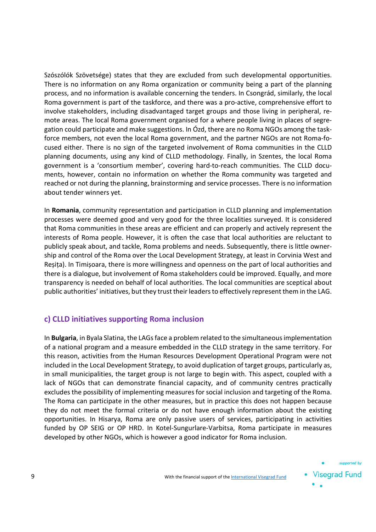Szószólók Szövetsége) states that they are excluded from such developmental opportunities. There is no information on any Roma organization or community being a part of the planning process, and no information is available concerning the tenders. In Csongrád, similarly, the local Roma government is part of the taskforce, and there was a pro-active, comprehensive effort to involve stakeholders, including disadvantaged target groups and those living in peripheral, remote areas. The local Roma government organised for a where people living in places of segregation could participate and make suggestions. In Ózd, there are no Roma NGOs among the taskforce members, not even the local Roma government, and the partner NGOs are not Roma-focused either. There is no sign of the targeted involvement of Roma communities in the CLLD planning documents, using any kind of CLLD methodology. Finally, in Szentes, the local Roma government is a 'consortium member', covering hard-to-reach communities. The CLLD documents, however, contain no information on whether the Roma community was targeted and reached or not during the planning, brainstorming and service processes. There is no information about tender winners yet.

In **Romania**, community representation and participation in CLLD planning and implementation processes were deemed good and very good for the three localities surveyed. It is considered that Roma communities in these areas are efficient and can properly and actively represent the interests of Roma people. However, it is often the case that local authorities are reluctant to publicly speak about, and tackle, Roma problems and needs. Subsequently, there is little ownership and control of the Roma over the Local Development Strategy, at least in Corvinia West and Reșița). In Timișoara, there is more willingness and openness on the part of local authorities and there is a dialogue, but involvement of Roma stakeholders could be improved. Equally, and more transparency is needed on behalf of local authorities. The local communities are sceptical about public authorities' initiatives, but they trust their leaders to effectively represent them in the LAG.

#### **c) CLLD initiatives supporting Roma inclusion**

In **Bulgaria**, in Byala Slatina, the LAGs face a problem related to the simultaneous implementation of a national program and a measure embedded in the CLLD strategy in the same territory. For this reason, activities from the Human Resources Development Operational Program were not included in the Local Development Strategy, to avoid duplication of target groups, particularly as, in small municipalities, the target group is not large to begin with. This aspect, coupled with a lack of NGOs that can demonstrate financial capacity, and of community centres practically excludes the possibility of implementing measures for social inclusion and targeting of the Roma. The Roma can participate in the other measures, but in practice this does not happen because they do not meet the formal criteria or do not have enough information about the existing opportunities. In Hisarya, Roma are only passive users of services, participating in activities funded by OP SEIG or OP HRD. In Kotel-Sungurlare-Varbitsa, Roma participate in measures developed by other NGOs, which is however a good indicator for Roma inclusion.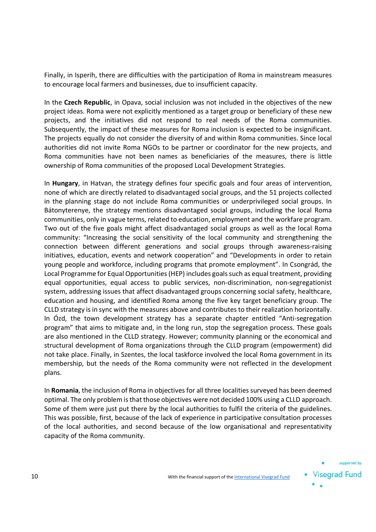Finally, in Isperih, there are difficulties with the participation of Roma in mainstream measures to encourage local farmers and businesses, due to insufficient capacity.

In the **Czech Republic**, in Opava, social inclusion was not included in the objectives of the new project ideas. Roma were not explicitly mentioned as a target group or beneficiary of these new projects, and the initiatives did not respond to real needs of the Roma communities. Subsequently, the impact of these measures for Roma inclusion is expected to be insignificant. The projects equally do not consider the diversity of and within Roma communities. Since local authorities did not invite Roma NGOs to be partner or coordinator for the new projects, and Roma communities have not been names as beneficiaries of the measures, there is little ownership of Roma communities of the proposed Local Development Strategies.

In **Hungary**, in Hatvan, the strategy defines four specific goals and four areas of intervention, none of which are directly related to disadvantaged social groups, and the 51 projects collected in the planning stage do not include Roma communities or underprivileged social groups. In Bátonyterenye, the strategy mentions disadvantaged social groups, including the local Roma communities, only in vague terms, related to education, employment and the workfare program. Two out of the five goals might affect disadvantaged social groups as well as the local Roma community: "Increasing the social sensitivity of the local community and strengthening the connection between different generations and social groups through awareness-raising initiatives, education, events and network cooperation" and "Developments in order to retain young people and workforce, including programs that promote employment". In Csongrád, the Local Programme for Equal Opportunities (HEP) includes goals such as equal treatment, providing equal opportunities, equal access to public services, non-discrimination, non-segregationist system, addressing issues that affect disadvantaged groups concerning social safety, healthcare, education and housing, and identified Roma among the five key target beneficiary group. The CLLD strategy is in sync with the measures above and contributes to their realization horizontally. In Ózd, the town development strategy has a separate chapter entitled "Anti-segregation program" that aims to mitigate and, in the long run, stop the segregation process. These goals are also mentioned in the CLLD strategy. However; community planning or the economical and structural development of Roma organizations through the CLLD program (empowerment) did not take place. Finally, in Szentes, the local taskforce involved the local Roma government in its membership, but the needs of the Roma community were not reflected in the development plans.

In **Romania**, the inclusion of Roma in objectives for all three localities surveyed has been deemed optimal. The only problem is that those objectives were not decided 100% using a CLLD approach. Some of them were just put there by the local authorities to fulfil the criteria of the guidelines. This was possible, first, because of the lack of experience in participative consultation processes of the local authorities, and second because of the low organisational and representativity capacity of the Roma community.

supported by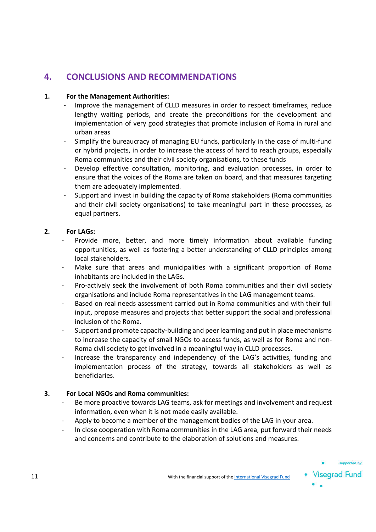# **4. CONCLUSIONS AND RECOMMENDATIONS**

#### **1. For the Management Authorities:**

- Improve the management of CLLD measures in order to respect timeframes, reduce lengthy waiting periods, and create the preconditions for the development and implementation of very good strategies that promote inclusion of Roma in rural and urban areas
- Simplify the bureaucracy of managing EU funds, particularly in the case of multi-fund or hybrid projects, in order to increase the access of hard to reach groups, especially Roma communities and their civil society organisations, to these funds
- Develop effective consultation, monitoring, and evaluation processes, in order to ensure that the voices of the Roma are taken on board, and that measures targeting them are adequately implemented.
- Support and invest in building the capacity of Roma stakeholders (Roma communities and their civil society organisations) to take meaningful part in these processes, as equal partners.

#### **2. For LAGs:**

- Provide more, better, and more timely information about available funding opportunities, as well as fostering a better understanding of CLLD principles among local stakeholders.
- Make sure that areas and municipalities with a significant proportion of Roma inhabitants are included in the LAGs.
- Pro-actively seek the involvement of both Roma communities and their civil society organisations and include Roma representatives in the LAG management teams.
- Based on real needs assessment carried out in Roma communities and with their full input, propose measures and projects that better support the social and professional inclusion of the Roma.
- Support and promote capacity-building and peer learning and put in place mechanisms to increase the capacity of small NGOs to access funds, as well as for Roma and non-Roma civil society to get involved in a meaningful way in CLLD processes.
- Increase the transparency and independency of the LAG's activities, funding and implementation process of the strategy, towards all stakeholders as well as beneficiaries.

#### **3. For Local NGOs and Roma communities:**

- Be more proactive towards LAG teams, ask for meetings and involvement and request information, even when it is not made easily available.
- Apply to become a member of the management bodies of the LAG in your area.
- In close cooperation with Roma communities in the LAG area, put forward their needs and concerns and contribute to the elaboration of solutions and measures.